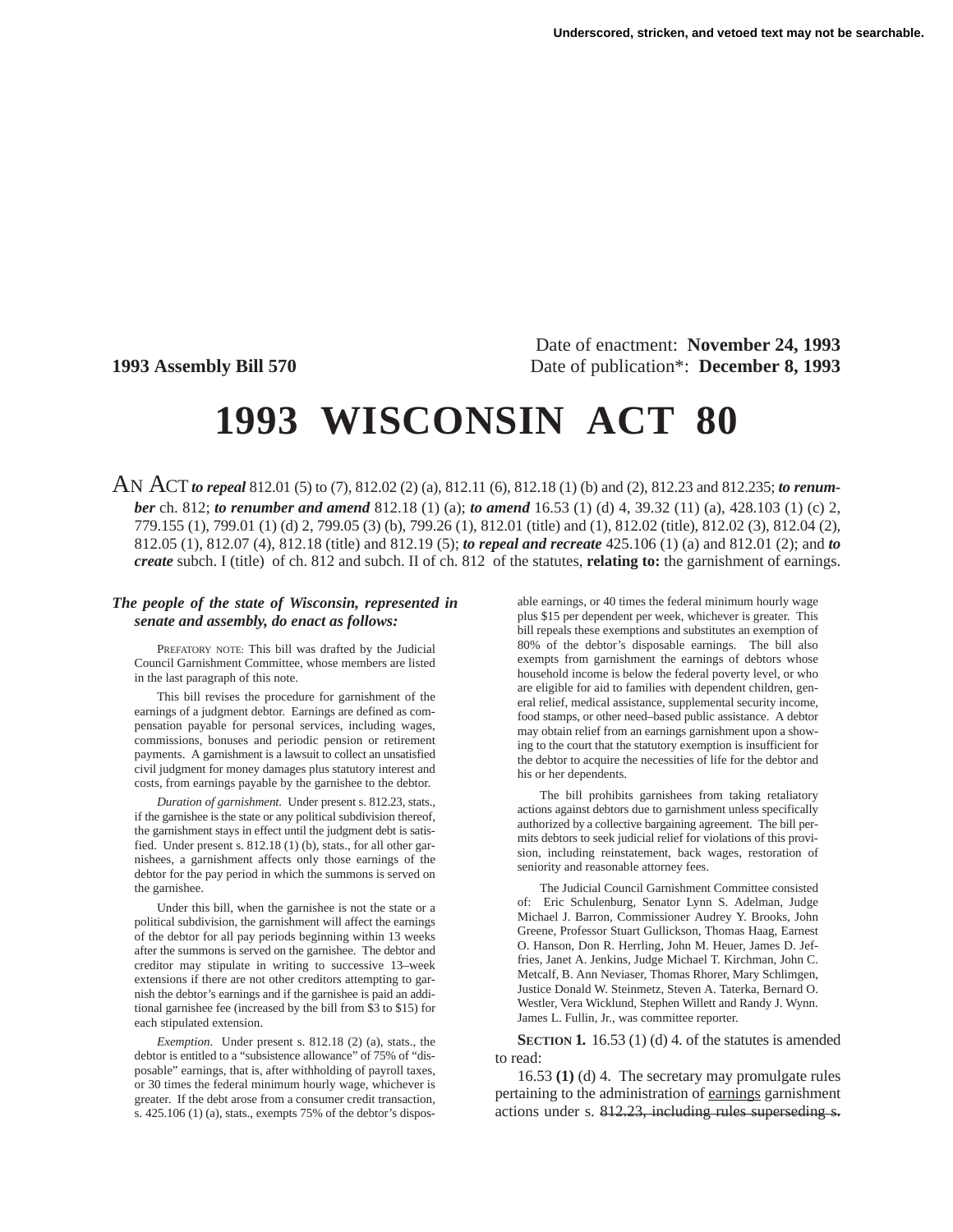Date of enactment: **November 24, 1993 1993 Assembly Bill 570** Date of publication\*: **December 8, 1993**

# **1993 WISCONSIN ACT 80**

AN ACT*to repeal* 812.01 (5) to (7), 812.02 (2) (a), 812.11 (6), 812.18 (1) (b) and (2), 812.23 and 812.235; *to renumber* ch. 812; *to renumber and amend* 812.18 (1) (a); *to amend* 16.53 (1) (d) 4, 39.32 (11) (a), 428.103 (1) (c) 2, 779.155 (1), 799.01 (1) (d) 2, 799.05 (3) (b), 799.26 (1), 812.01 (title) and (1), 812.02 (title), 812.02 (3), 812.04 (2), 812.05 (1), 812.07 (4), 812.18 (title) and 812.19 (5); *to repeal and recreate* 425.106 (1) (a) and 812.01 (2); and *to create* subch. I (title) of ch. 812 and subch. II of ch. 812 of the statutes, **relating to:** the garnishment of earnings.

### *The people of the state of Wisconsin, represented in senate and assembly, do enact as follows:*

PREFATORY NOTE: This bill was drafted by the Judicial Council Garnishment Committee, whose members are listed in the last paragraph of this note.

This bill revises the procedure for garnishment of the earnings of a judgment debtor. Earnings are defined as compensation payable for personal services, including wages, commissions, bonuses and periodic pension or retirement payments. A garnishment is a lawsuit to collect an unsatisfied civil judgment for money damages plus statutory interest and costs, from earnings payable by the garnishee to the debtor.

*Duration of garnishment.* Under present s. 812.23, stats., if the garnishee is the state or any political subdivision thereof, the garnishment stays in effect until the judgment debt is satisfied. Under present s. 812.18 (1) (b), stats., for all other garnishees, a garnishment affects only those earnings of the debtor for the pay period in which the summons is served on the garnishee.

Under this bill, when the garnishee is not the state or a political subdivision, the garnishment will affect the earnings of the debtor for all pay periods beginning within 13 weeks after the summons is served on the garnishee. The debtor and creditor may stipulate in writing to successive 13–week extensions if there are not other creditors attempting to garnish the debtor's earnings and if the garnishee is paid an additional garnishee fee (increased by the bill from \$3 to \$15) for each stipulated extension.

*Exemption.* Under present s. 812.18 (2) (a), stats., the debtor is entitled to a "subsistence allowance" of 75% of "disposable" earnings, that is, after withholding of payroll taxes, or 30 times the federal minimum hourly wage, whichever is greater. If the debt arose from a consumer credit transaction, s. 425.106 (1) (a), stats., exempts 75% of the debtor's disposable earnings, or 40 times the federal minimum hourly wage plus \$15 per dependent per week, whichever is greater. This bill repeals these exemptions and substitutes an exemption of 80% of the debtor's disposable earnings. The bill also exempts from garnishment the earnings of debtors whose household income is below the federal poverty level, or who are eligible for aid to families with dependent children, general relief, medical assistance, supplemental security income, food stamps, or other need–based public assistance. A debtor may obtain relief from an earnings garnishment upon a showing to the court that the statutory exemption is insufficient for the debtor to acquire the necessities of life for the debtor and his or her dependents.

The bill prohibits garnishees from taking retaliatory actions against debtors due to garnishment unless specifically authorized by a collective bargaining agreement. The bill permits debtors to seek judicial relief for violations of this provision, including reinstatement, back wages, restoration of seniority and reasonable attorney fees.

The Judicial Council Garnishment Committee consisted of: Eric Schulenburg, Senator Lynn S. Adelman, Judge Michael J. Barron, Commissioner Audrey Y. Brooks, John Greene, Professor Stuart Gullickson, Thomas Haag, Earnest O. Hanson, Don R. Herrling, John M. Heuer, James D. Jeffries, Janet A. Jenkins, Judge Michael T. Kirchman, John C. Metcalf, B. Ann Neviaser, Thomas Rhorer, Mary Schlimgen, Justice Donald W. Steinmetz, Steven A. Taterka, Bernard O. Westler, Vera Wicklund, Stephen Willett and Randy J. Wynn. James L. Fullin, Jr., was committee reporter.

**SECTION 1.** 16.53 (1) (d) 4. of the statutes is amended to read:

16.53 **(1)** (d) 4. The secretary may promulgate rules pertaining to the administration of earnings garnishment actions under s. 812.23, including rules superseding s.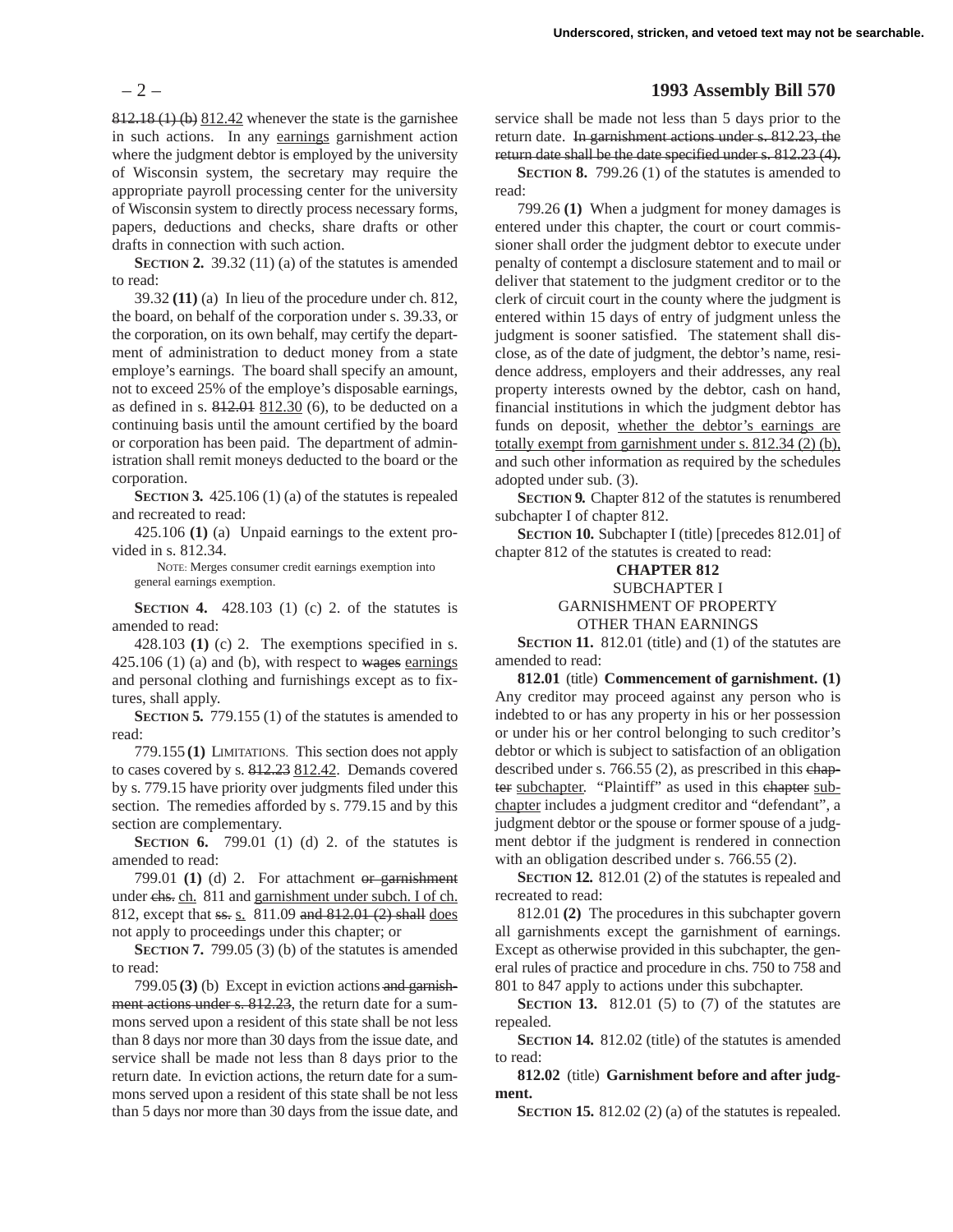812.18 (1) (b) 812.42 whenever the state is the garnishee in such actions. In any earnings garnishment action where the judgment debtor is employed by the university of Wisconsin system, the secretary may require the appropriate payroll processing center for the university of Wisconsin system to directly process necessary forms, papers, deductions and checks, share drafts or other drafts in connection with such action.

**SECTION 2.** 39.32 (11) (a) of the statutes is amended to read:

39.32 **(11)** (a) In lieu of the procedure under ch. 812, the board, on behalf of the corporation under s. 39.33, or the corporation, on its own behalf, may certify the department of administration to deduct money from a state employe's earnings. The board shall specify an amount, not to exceed 25% of the employe's disposable earnings, as defined in s.  $812.01$   $812.30$  (6), to be deducted on a continuing basis until the amount certified by the board or corporation has been paid. The department of administration shall remit moneys deducted to the board or the corporation.

**SECTION 3.** 425.106 (1) (a) of the statutes is repealed and recreated to read:

425.106 **(1)** (a) Unpaid earnings to the extent provided in s. 812.34.

NOTE: Merges consumer credit earnings exemption into general earnings exemption.

**SECTION 4.** 428.103 (1) (c) 2. of the statutes is amended to read:

428.103 **(1)** (c) 2. The exemptions specified in s.  $425.106$  (1) (a) and (b), with respect to wages earnings and personal clothing and furnishings except as to fixtures, shall apply.

**SECTION 5.** 779.155 (1) of the statutes is amended to read:

779.155 **(1)** LIMITATIONS. This section does not apply to cases covered by s. 812.23 812.42. Demands covered by s. 779.15 have priority over judgments filed under this section. The remedies afforded by s. 779.15 and by this section are complementary.

**SECTION 6.** 799.01 (1) (d) 2. of the statutes is amended to read:

799.01 **(1)** (d) 2. For attachment or garnishment under chs. ch. 811 and garnishment under subch. I of ch. 812, except that ss. s. 811.09 and 812.01 (2) shall does not apply to proceedings under this chapter; or

**SECTION 7.** 799.05 (3) (b) of the statutes is amended to read:

799.05 **(3)** (b) Except in eviction actions and garnishment actions under s. 812.23, the return date for a summons served upon a resident of this state shall be not less than 8 days nor more than 30 days from the issue date, and service shall be made not less than 8 days prior to the return date. In eviction actions, the return date for a summons served upon a resident of this state shall be not less than 5 days nor more than 30 days from the issue date, and

# – 2 – **1993 Assembly Bill 570**

service shall be made not less than 5 days prior to the return date. In garnishment actions under s. 812.23, the return date shall be the date specified under s. 812.23 (4).

**SECTION 8.** 799.26 (1) of the statutes is amended to read:

799.26 **(1)** When a judgment for money damages is entered under this chapter, the court or court commissioner shall order the judgment debtor to execute under penalty of contempt a disclosure statement and to mail or deliver that statement to the judgment creditor or to the clerk of circuit court in the county where the judgment is entered within 15 days of entry of judgment unless the judgment is sooner satisfied. The statement shall disclose, as of the date of judgment, the debtor's name, residence address, employers and their addresses, any real property interests owned by the debtor, cash on hand, financial institutions in which the judgment debtor has funds on deposit, whether the debtor's earnings are totally exempt from garnishment under s. 812.34 (2) (b), and such other information as required by the schedules adopted under sub. (3).

**SECTION 9.** Chapter 812 of the statutes is renumbered subchapter I of chapter 812.

**SECTION 10.** Subchapter I (title) [precedes 812.01] of chapter 812 of the statutes is created to read:

## **CHAPTER 812**

SUBCHAPTER I

GARNISHMENT OF PROPERTY

OTHER THAN EARNINGS

**SECTION 11.** 812.01 (title) and (1) of the statutes are amended to read:

**812.01** (title) **Commencement of garnishment. (1)** Any creditor may proceed against any person who is indebted to or has any property in his or her possession or under his or her control belonging to such creditor's debtor or which is subject to satisfaction of an obligation described under s. 766.55 (2), as prescribed in this chapter subchapter. "Plaintiff" as used in this chapter subchapter includes a judgment creditor and "defendant", a judgment debtor or the spouse or former spouse of a judgment debtor if the judgment is rendered in connection with an obligation described under s. 766.55 (2).

**SECTION 12.** 812.01 (2) of the statutes is repealed and recreated to read:

812.01 **(2)** The procedures in this subchapter govern all garnishments except the garnishment of earnings. Except as otherwise provided in this subchapter, the general rules of practice and procedure in chs. 750 to 758 and 801 to 847 apply to actions under this subchapter.

**SECTION 13.** 812.01 (5) to (7) of the statutes are repealed.

**SECTION 14.** 812.02 (title) of the statutes is amended to read:

**812.02** (title) **Garnishment before and after judgment.**

**SECTION 15.** 812.02 (2) (a) of the statutes is repealed.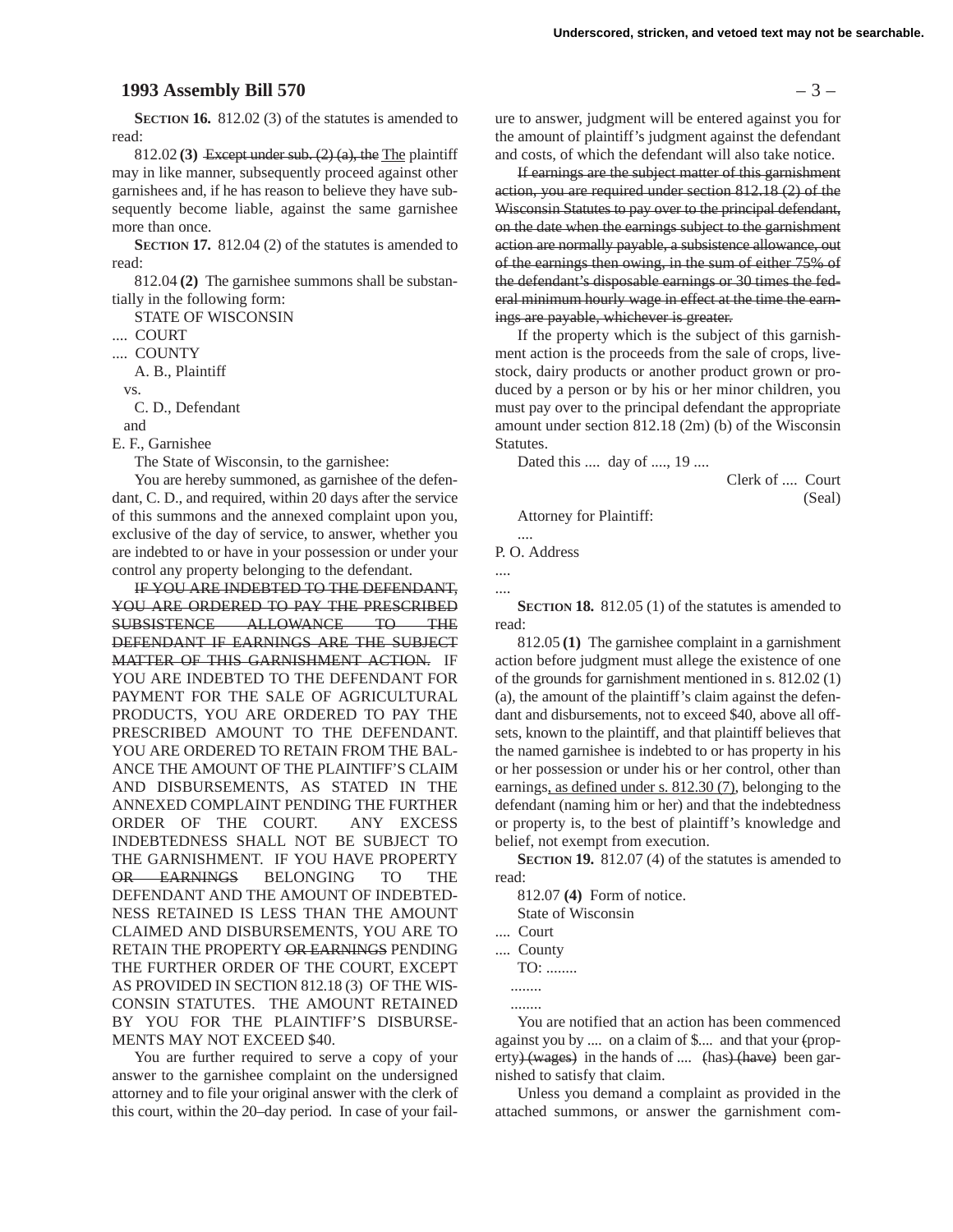## **1993 Assembly Bill 570** – 3 –

**SECTION 16.** 812.02 (3) of the statutes is amended to read:

812.02 **(3)** Except under sub. (2) (a), the The plaintiff may in like manner, subsequently proceed against other garnishees and, if he has reason to believe they have subsequently become liable, against the same garnishee more than once.

**SECTION 17.** 812.04 (2) of the statutes is amended to read:

812.04 **(2)** The garnishee summons shall be substantially in the following form:

STATE OF WISCONSIN

.... COURT

.... COUNTY

A. B., Plaintiff

vs.

C. D., Defendant

and

E. F., Garnishee

The State of Wisconsin, to the garnishee:

You are hereby summoned, as garnishee of the defendant, C. D., and required, within 20 days after the service of this summons and the annexed complaint upon you, exclusive of the day of service, to answer, whether you are indebted to or have in your possession or under your control any property belonging to the defendant.

IF YOU ARE INDEBTED TO THE DEFENDANT, YOU ARE ORDERED TO PAY THE PRESCRIBED SUBSISTENCE ALLOWANCE TO THE DEFENDANT IF EARNINGS ARE THE SUBJECT MATTER OF THIS GARNISHMENT ACTION. IF YOU ARE INDEBTED TO THE DEFENDANT FOR PAYMENT FOR THE SALE OF AGRICULTURAL PRODUCTS, YOU ARE ORDERED TO PAY THE PRESCRIBED AMOUNT TO THE DEFENDANT. YOU ARE ORDERED TO RETAIN FROM THE BAL-ANCE THE AMOUNT OF THE PLAINTIFF'S CLAIM AND DISBURSEMENTS, AS STATED IN THE ANNEXED COMPLAINT PENDING THE FURTHER ORDER OF THE COURT. ANY EXCESS INDEBTEDNESS SHALL NOT BE SUBJECT TO THE GARNISHMENT. IF YOU HAVE PROPERTY OR EARNINGS BELONGING TO THE DEFENDANT AND THE AMOUNT OF INDEBTED-NESS RETAINED IS LESS THAN THE AMOUNT CLAIMED AND DISBURSEMENTS, YOU ARE TO RETAIN THE PROPERTY OR EARNINGS PENDING THE FURTHER ORDER OF THE COURT, EXCEPT AS PROVIDED IN SECTION 812.18 (3) OF THE WIS-CONSIN STATUTES. THE AMOUNT RETAINED BY YOU FOR THE PLAINTIFF'S DISBURSE-MENTS MAY NOT EXCEED \$40.

You are further required to serve a copy of your answer to the garnishee complaint on the undersigned attorney and to file your original answer with the clerk of this court, within the 20–day period. In case of your failure to answer, judgment will be entered against you for the amount of plaintiff's judgment against the defendant and costs, of which the defendant will also take notice.

If earnings are the subject matter of this garnishment action, you are required under section 812.18 (2) of the Wisconsin Statutes to pay over to the principal defendant, on the date when the earnings subject to the garnishment action are normally payable, a subsistence allowance, out of the earnings then owing, in the sum of either 75% of the defendant's disposable earnings or 30 times the federal minimum hourly wage in effect at the time the earnings are payable, whichever is greater.

If the property which is the subject of this garnishment action is the proceeds from the sale of crops, livestock, dairy products or another product grown or produced by a person or by his or her minor children, you must pay over to the principal defendant the appropriate amount under section 812.18 (2m) (b) of the Wisconsin Statutes.

Dated this .... day of ...., 19 ....

Clerk of .... Court (Seal)

Attorney for Plaintiff:

P. O. Address

....

.... ....

**SECTION 18.** 812.05 (1) of the statutes is amended to read:

812.05 **(1)** The garnishee complaint in a garnishment action before judgment must allege the existence of one of the grounds for garnishment mentioned in s. 812.02 (1) (a), the amount of the plaintiff's claim against the defendant and disbursements, not to exceed \$40, above all offsets, known to the plaintiff, and that plaintiff believes that the named garnishee is indebted to or has property in his or her possession or under his or her control, other than earnings, as defined under s. 812.30 (7), belonging to the defendant (naming him or her) and that the indebtedness or property is, to the best of plaintiff's knowledge and belief, not exempt from execution.

**SECTION 19.** 812.07 (4) of the statutes is amended to read:

812.07 **(4)** Form of notice. State of Wisconsin

.... Court

.... County

TO: ........

 ........ ........

You are notified that an action has been commenced against you by .... on a claim of \$.... and that your (property) (wages) in the hands of .... (has) (have) been garnished to satisfy that claim.

Unless you demand a complaint as provided in the attached summons, or answer the garnishment com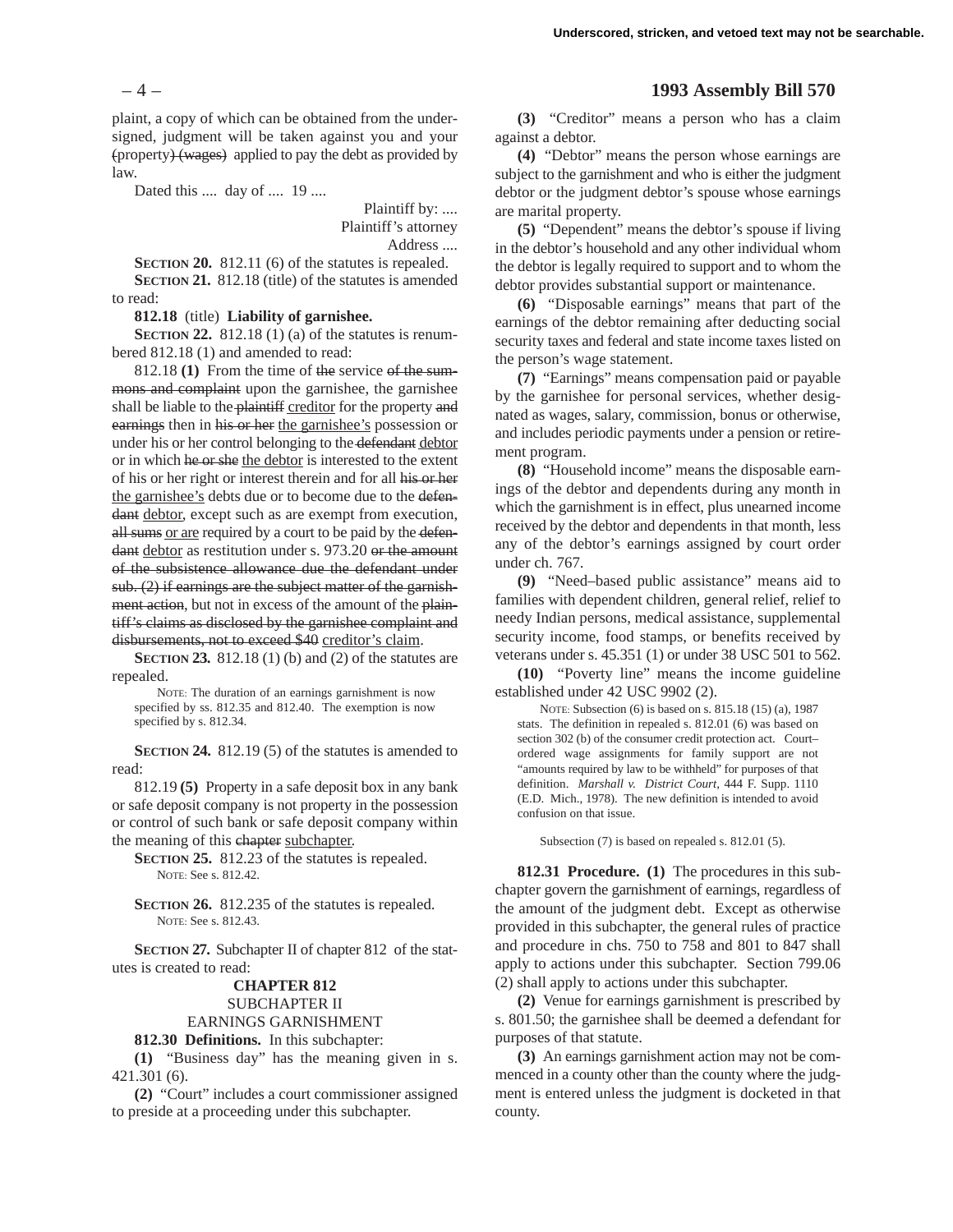– 4 – **1993 Assembly Bill 570**

plaint, a copy of which can be obtained from the undersigned, judgment will be taken against you and your (property) (wages) applied to pay the debt as provided by law.

Dated this .... day of .... 19 ....

Plaintiff by: .... Plaintiff's attorney Address ....

**SECTION 20.** 812.11 (6) of the statutes is repealed. **SECTION 21.** 812.18 (title) of the statutes is amended to read:

#### **812.18** (title) **Liability of garnishee.**

**SECTION 22.** 812.18 (1) (a) of the statutes is renumbered 812.18 (1) and amended to read:

812.18 **(1)** From the time of the service of the summons and complaint upon the garnishee, the garnishee shall be liable to the plaintiff creditor for the property and earnings then in his or her the garnishee's possession or under his or her control belonging to the defendant debtor or in which he or she the debtor is interested to the extent of his or her right or interest therein and for all his or her the garnishee's debts due or to become due to the defendant debtor, except such as are exempt from execution, all sums or are required by a court to be paid by the defendant debtor as restitution under s. 973.20 or the amount of the subsistence allowance due the defendant under sub. (2) if earnings are the subject matter of the garnishment action, but not in excess of the amount of the plaintiff's claims as disclosed by the garnishee complaint and disbursements, not to exceed \$40 creditor's claim.

**SECTION 23.** 812.18 (1) (b) and (2) of the statutes are repealed.

NOTE: The duration of an earnings garnishment is now specified by ss. 812.35 and 812.40. The exemption is now specified by s. 812.34.

**SECTION 24.** 812.19 (5) of the statutes is amended to read:

812.19 **(5)** Property in a safe deposit box in any bank or safe deposit company is not property in the possession or control of such bank or safe deposit company within the meaning of this chapter subchapter.

**SECTION 25.** 812.23 of the statutes is repealed. NOTE: See s. 812.42.

**SECTION 26.** 812.235 of the statutes is repealed. NOTE: See s. 812.43.

**SECTION 27.** Subchapter II of chapter 812 of the statutes is created to read:

#### **CHAPTER 812** SUBCHAPTER II

EARNINGS GARNISHMENT

**812.30 Definitions.** In this subchapter:

**(1)** "Business day" has the meaning given in s. 421.301 (6).

**(2)** "Court" includes a court commissioner assigned to preside at a proceeding under this subchapter.

**(3)** "Creditor" means a person who has a claim against a debtor.

**(4)** "Debtor" means the person whose earnings are subject to the garnishment and who is either the judgment debtor or the judgment debtor's spouse whose earnings are marital property.

**(5)** "Dependent" means the debtor's spouse if living in the debtor's household and any other individual whom the debtor is legally required to support and to whom the debtor provides substantial support or maintenance.

**(6)** "Disposable earnings" means that part of the earnings of the debtor remaining after deducting social security taxes and federal and state income taxes listed on the person's wage statement.

**(7)** "Earnings" means compensation paid or payable by the garnishee for personal services, whether designated as wages, salary, commission, bonus or otherwise, and includes periodic payments under a pension or retirement program.

**(8)** "Household income" means the disposable earnings of the debtor and dependents during any month in which the garnishment is in effect, plus unearned income received by the debtor and dependents in that month, less any of the debtor's earnings assigned by court order under ch. 767.

**(9)** "Need–based public assistance" means aid to families with dependent children, general relief, relief to needy Indian persons, medical assistance, supplemental security income, food stamps, or benefits received by veterans under s. 45.351 (1) or under 38 USC 501 to 562.

**(10)** "Poverty line" means the income guideline established under 42 USC 9902 (2).

NOTE: Subsection (6) is based on s. 815.18 (15) (a), 1987 stats. The definition in repealed s. 812.01 (6) was based on section 302 (b) of the consumer credit protection act. Court– ordered wage assignments for family support are not "amounts required by law to be withheld" for purposes of that definition. *Marshall v. District Court*, 444 F. Supp. 1110 (E.D. Mich., 1978). The new definition is intended to avoid confusion on that issue.

Subsection (7) is based on repealed s. 812.01 (5).

**812.31 Procedure. (1)** The procedures in this subchapter govern the garnishment of earnings, regardless of the amount of the judgment debt. Except as otherwise provided in this subchapter, the general rules of practice and procedure in chs. 750 to 758 and 801 to 847 shall apply to actions under this subchapter. Section 799.06 (2) shall apply to actions under this subchapter.

**(2)** Venue for earnings garnishment is prescribed by s. 801.50; the garnishee shall be deemed a defendant for purposes of that statute.

**(3)** An earnings garnishment action may not be commenced in a county other than the county where the judgment is entered unless the judgment is docketed in that county.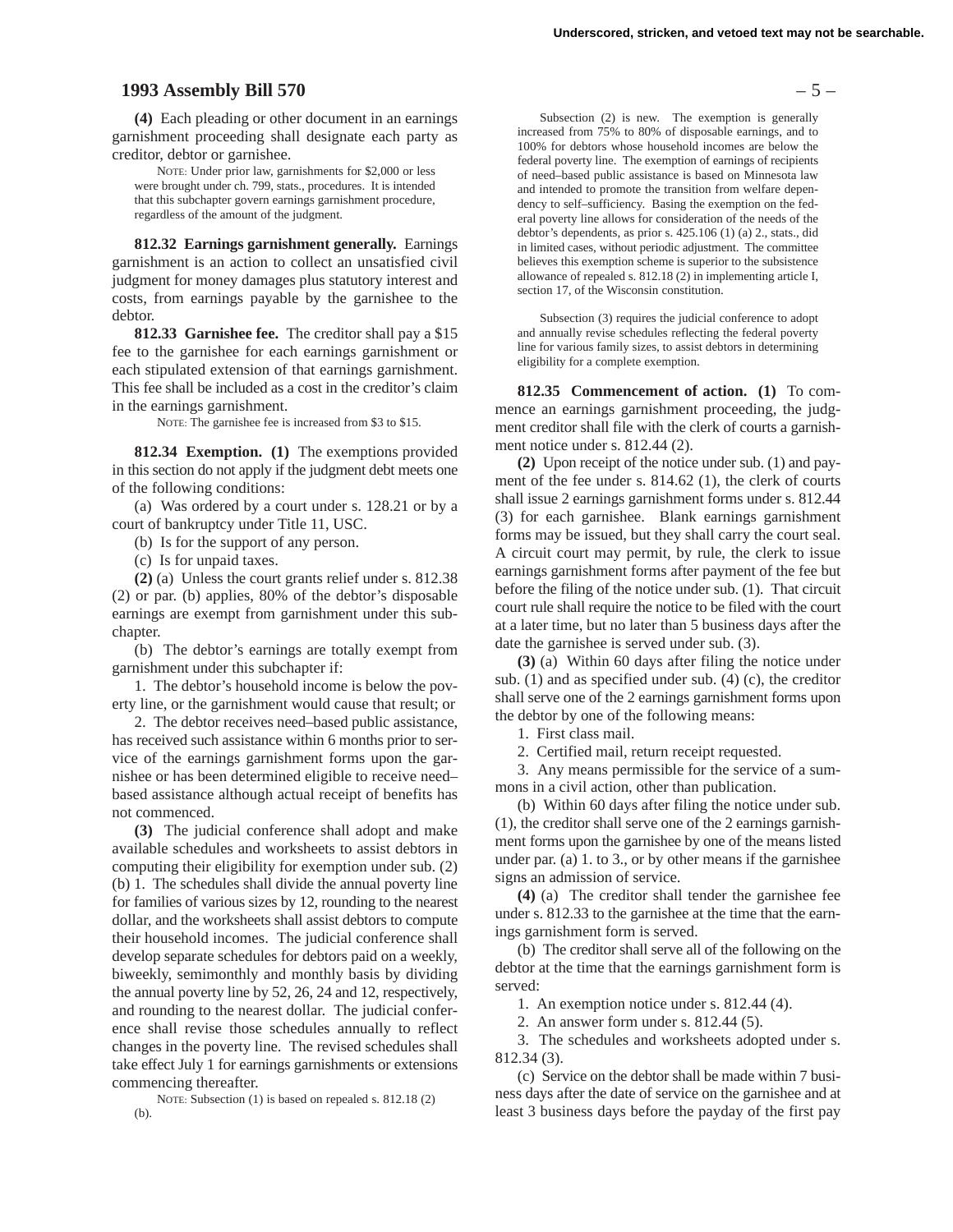## **1993 Assembly Bill 570** – 5 –

**(4)** Each pleading or other document in an earnings garnishment proceeding shall designate each party as creditor, debtor or garnishee.

NOTE: Under prior law, garnishments for \$2,000 or less were brought under ch. 799, stats., procedures. It is intended that this subchapter govern earnings garnishment procedure, regardless of the amount of the judgment.

**812.32 Earnings garnishment generally.** Earnings garnishment is an action to collect an unsatisfied civil judgment for money damages plus statutory interest and costs, from earnings payable by the garnishee to the debtor.

**812.33 Garnishee fee.** The creditor shall pay a \$15 fee to the garnishee for each earnings garnishment or each stipulated extension of that earnings garnishment. This fee shall be included as a cost in the creditor's claim in the earnings garnishment.

NOTE: The garnishee fee is increased from \$3 to \$15.

**812.34 Exemption. (1)** The exemptions provided in this section do not apply if the judgment debt meets one of the following conditions:

(a) Was ordered by a court under s. 128.21 or by a court of bankruptcy under Title 11, USC.

(b) Is for the support of any person.

(c) Is for unpaid taxes.

**(2)** (a) Unless the court grants relief under s. 812.38 (2) or par. (b) applies, 80% of the debtor's disposable earnings are exempt from garnishment under this subchapter.

(b) The debtor's earnings are totally exempt from garnishment under this subchapter if:

1. The debtor's household income is below the poverty line, or the garnishment would cause that result; or

2. The debtor receives need–based public assistance, has received such assistance within 6 months prior to service of the earnings garnishment forms upon the garnishee or has been determined eligible to receive need– based assistance although actual receipt of benefits has not commenced.

**(3)** The judicial conference shall adopt and make available schedules and worksheets to assist debtors in computing their eligibility for exemption under sub. (2) (b) 1. The schedules shall divide the annual poverty line for families of various sizes by 12, rounding to the nearest dollar, and the worksheets shall assist debtors to compute their household incomes. The judicial conference shall develop separate schedules for debtors paid on a weekly, biweekly, semimonthly and monthly basis by dividing the annual poverty line by 52, 26, 24 and 12, respectively, and rounding to the nearest dollar. The judicial conference shall revise those schedules annually to reflect changes in the poverty line. The revised schedules shall take effect July 1 for earnings garnishments or extensions commencing thereafter.

NOTE: Subsection (1) is based on repealed s. 812.18 (2) (b).

Subsection (2) is new. The exemption is generally increased from 75% to 80% of disposable earnings, and to 100% for debtors whose household incomes are below the federal poverty line. The exemption of earnings of recipients of need–based public assistance is based on Minnesota law and intended to promote the transition from welfare dependency to self–sufficiency. Basing the exemption on the federal poverty line allows for consideration of the needs of the debtor's dependents, as prior s. 425.106 (1) (a) 2., stats., did in limited cases, without periodic adjustment. The committee believes this exemption scheme is superior to the subsistence allowance of repealed s. 812.18 (2) in implementing article I, section 17, of the Wisconsin constitution.

Subsection (3) requires the judicial conference to adopt and annually revise schedules reflecting the federal poverty line for various family sizes, to assist debtors in determining eligibility for a complete exemption.

**812.35 Commencement of action. (1)** To commence an earnings garnishment proceeding, the judgment creditor shall file with the clerk of courts a garnishment notice under s. 812.44 (2).

**(2)** Upon receipt of the notice under sub. (1) and payment of the fee under s. 814.62 (1), the clerk of courts shall issue 2 earnings garnishment forms under s. 812.44 (3) for each garnishee. Blank earnings garnishment forms may be issued, but they shall carry the court seal. A circuit court may permit, by rule, the clerk to issue earnings garnishment forms after payment of the fee but before the filing of the notice under sub. (1). That circuit court rule shall require the notice to be filed with the court at a later time, but no later than 5 business days after the date the garnishee is served under sub. (3).

**(3)** (a) Within 60 days after filing the notice under sub. (1) and as specified under sub. (4) (c), the creditor shall serve one of the 2 earnings garnishment forms upon the debtor by one of the following means:

1. First class mail.

2. Certified mail, return receipt requested.

3. Any means permissible for the service of a summons in a civil action, other than publication.

(b) Within 60 days after filing the notice under sub. (1), the creditor shall serve one of the 2 earnings garnishment forms upon the garnishee by one of the means listed under par. (a) 1. to 3., or by other means if the garnishee signs an admission of service.

**(4)** (a) The creditor shall tender the garnishee fee under s. 812.33 to the garnishee at the time that the earnings garnishment form is served.

(b) The creditor shall serve all of the following on the debtor at the time that the earnings garnishment form is served:

1. An exemption notice under s. 812.44 (4).

2. An answer form under s. 812.44 (5).

3. The schedules and worksheets adopted under s. 812.34 (3).

(c) Service on the debtor shall be made within 7 business days after the date of service on the garnishee and at least 3 business days before the payday of the first pay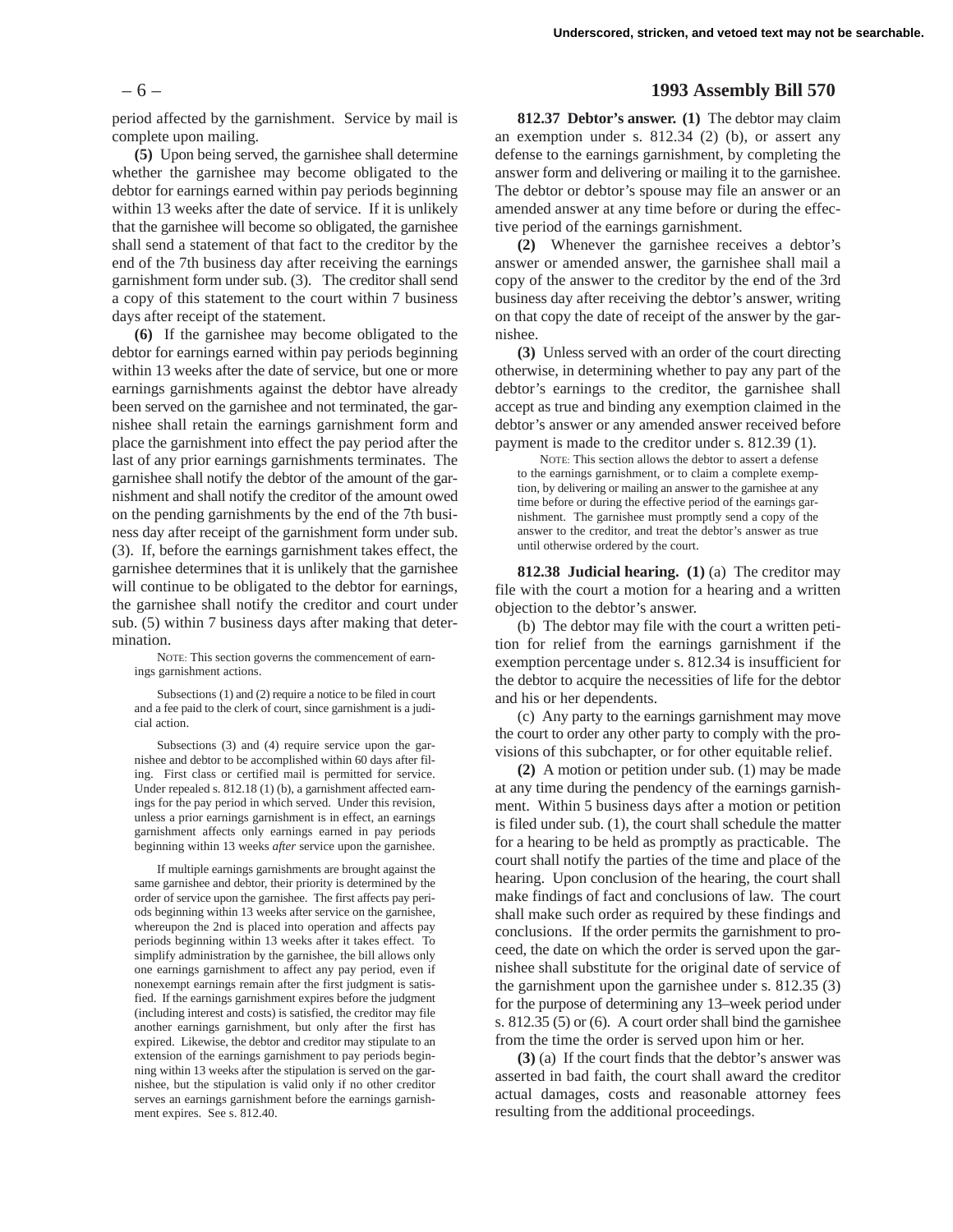period affected by the garnishment. Service by mail is complete upon mailing.

**(5)** Upon being served, the garnishee shall determine whether the garnishee may become obligated to the debtor for earnings earned within pay periods beginning within 13 weeks after the date of service. If it is unlikely that the garnishee will become so obligated, the garnishee shall send a statement of that fact to the creditor by the end of the 7th business day after receiving the earnings garnishment form under sub. (3). The creditor shall send a copy of this statement to the court within 7 business days after receipt of the statement.

**(6)** If the garnishee may become obligated to the debtor for earnings earned within pay periods beginning within 13 weeks after the date of service, but one or more earnings garnishments against the debtor have already been served on the garnishee and not terminated, the garnishee shall retain the earnings garnishment form and place the garnishment into effect the pay period after the last of any prior earnings garnishments terminates. The garnishee shall notify the debtor of the amount of the garnishment and shall notify the creditor of the amount owed on the pending garnishments by the end of the 7th business day after receipt of the garnishment form under sub. (3). If, before the earnings garnishment takes effect, the garnishee determines that it is unlikely that the garnishee will continue to be obligated to the debtor for earnings, the garnishee shall notify the creditor and court under sub. (5) within 7 business days after making that determination.

NOTE: This section governs the commencement of earnings garnishment actions.

Subsections (1) and (2) require a notice to be filed in court and a fee paid to the clerk of court, since garnishment is a judicial action.

Subsections (3) and (4) require service upon the garnishee and debtor to be accomplished within 60 days after filing. First class or certified mail is permitted for service. Under repealed s. 812.18 (1) (b), a garnishment affected earnings for the pay period in which served. Under this revision, unless a prior earnings garnishment is in effect, an earnings garnishment affects only earnings earned in pay periods beginning within 13 weeks *after* service upon the garnishee.

If multiple earnings garnishments are brought against the same garnishee and debtor, their priority is determined by the order of service upon the garnishee. The first affects pay periods beginning within 13 weeks after service on the garnishee, whereupon the 2nd is placed into operation and affects pay periods beginning within 13 weeks after it takes effect. To simplify administration by the garnishee, the bill allows only one earnings garnishment to affect any pay period, even if nonexempt earnings remain after the first judgment is satisfied. If the earnings garnishment expires before the judgment (including interest and costs) is satisfied, the creditor may file another earnings garnishment, but only after the first has expired. Likewise, the debtor and creditor may stipulate to an extension of the earnings garnishment to pay periods beginning within 13 weeks after the stipulation is served on the garnishee, but the stipulation is valid only if no other creditor serves an earnings garnishment before the earnings garnishment expires. See s. 812.40.

# – 6 – **1993 Assembly Bill 570**

**812.37 Debtor's answer. (1)** The debtor may claim an exemption under s. 812.34 (2) (b), or assert any defense to the earnings garnishment, by completing the answer form and delivering or mailing it to the garnishee. The debtor or debtor's spouse may file an answer or an amended answer at any time before or during the effective period of the earnings garnishment.

**(2)** Whenever the garnishee receives a debtor's answer or amended answer, the garnishee shall mail a copy of the answer to the creditor by the end of the 3rd business day after receiving the debtor's answer, writing on that copy the date of receipt of the answer by the garnishee.

**(3)** Unless served with an order of the court directing otherwise, in determining whether to pay any part of the debtor's earnings to the creditor, the garnishee shall accept as true and binding any exemption claimed in the debtor's answer or any amended answer received before payment is made to the creditor under s. 812.39 (1).

NOTE: This section allows the debtor to assert a defense to the earnings garnishment, or to claim a complete exemption, by delivering or mailing an answer to the garnishee at any time before or during the effective period of the earnings garnishment. The garnishee must promptly send a copy of the answer to the creditor, and treat the debtor's answer as true until otherwise ordered by the court.

**812.38 Judicial hearing. (1)** (a) The creditor may file with the court a motion for a hearing and a written objection to the debtor's answer.

(b) The debtor may file with the court a written petition for relief from the earnings garnishment if the exemption percentage under s. 812.34 is insufficient for the debtor to acquire the necessities of life for the debtor and his or her dependents.

(c) Any party to the earnings garnishment may move the court to order any other party to comply with the provisions of this subchapter, or for other equitable relief.

**(2)** A motion or petition under sub. (1) may be made at any time during the pendency of the earnings garnishment. Within 5 business days after a motion or petition is filed under sub. (1), the court shall schedule the matter for a hearing to be held as promptly as practicable. The court shall notify the parties of the time and place of the hearing. Upon conclusion of the hearing, the court shall make findings of fact and conclusions of law. The court shall make such order as required by these findings and conclusions. If the order permits the garnishment to proceed, the date on which the order is served upon the garnishee shall substitute for the original date of service of the garnishment upon the garnishee under s. 812.35 (3) for the purpose of determining any 13–week period under s. 812.35 (5) or (6). A court order shall bind the garnishee from the time the order is served upon him or her.

**(3)** (a) If the court finds that the debtor's answer was asserted in bad faith, the court shall award the creditor actual damages, costs and reasonable attorney fees resulting from the additional proceedings.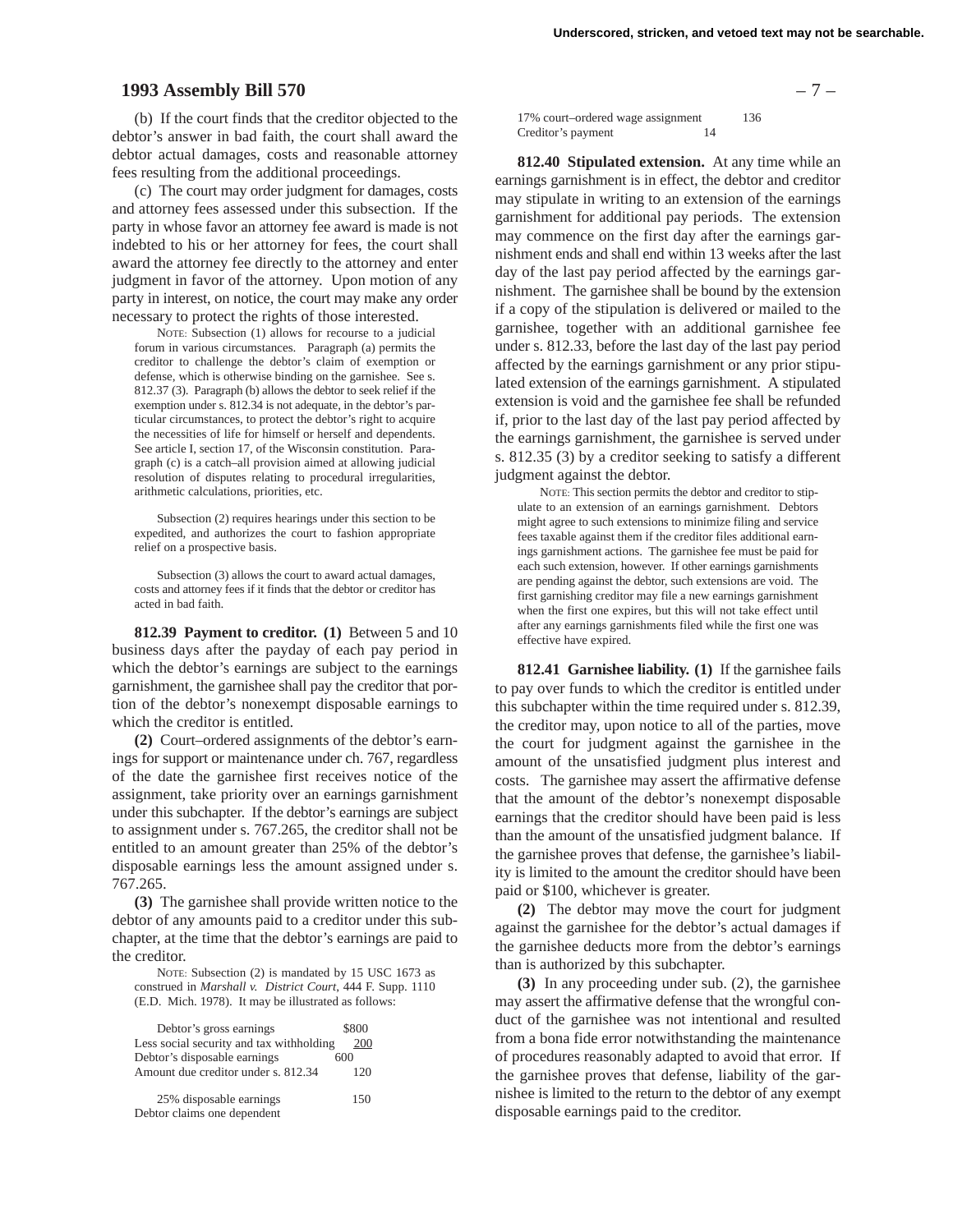# **1993 Assembly Bill 570** – 7 –

(b) If the court finds that the creditor objected to the debtor's answer in bad faith, the court shall award the debtor actual damages, costs and reasonable attorney fees resulting from the additional proceedings.

(c) The court may order judgment for damages, costs and attorney fees assessed under this subsection. If the party in whose favor an attorney fee award is made is not indebted to his or her attorney for fees, the court shall award the attorney fee directly to the attorney and enter judgment in favor of the attorney. Upon motion of any party in interest, on notice, the court may make any order necessary to protect the rights of those interested.

NOTE: Subsection (1) allows for recourse to a judicial forum in various circumstances. Paragraph (a) permits the creditor to challenge the debtor's claim of exemption or defense, which is otherwise binding on the garnishee. See s. 812.37 (3). Paragraph (b) allows the debtor to seek relief if the exemption under s. 812.34 is not adequate, in the debtor's particular circumstances, to protect the debtor's right to acquire the necessities of life for himself or herself and dependents. See article I, section 17, of the Wisconsin constitution. Paragraph (c) is a catch–all provision aimed at allowing judicial resolution of disputes relating to procedural irregularities, arithmetic calculations, priorities, etc.

Subsection (2) requires hearings under this section to be expedited, and authorizes the court to fashion appropriate relief on a prospective basis.

Subsection (3) allows the court to award actual damages, costs and attorney fees if it finds that the debtor or creditor has acted in bad faith.

**812.39 Payment to creditor. (1)** Between 5 and 10 business days after the payday of each pay period in which the debtor's earnings are subject to the earnings garnishment, the garnishee shall pay the creditor that portion of the debtor's nonexempt disposable earnings to which the creditor is entitled.

**(2)** Court–ordered assignments of the debtor's earnings for support or maintenance under ch. 767, regardless of the date the garnishee first receives notice of the assignment, take priority over an earnings garnishment under this subchapter. If the debtor's earnings are subject to assignment under s. 767.265, the creditor shall not be entitled to an amount greater than 25% of the debtor's disposable earnings less the amount assigned under s. 767.265.

**(3)** The garnishee shall provide written notice to the debtor of any amounts paid to a creditor under this subchapter, at the time that the debtor's earnings are paid to the creditor.

NOTE: Subsection (2) is mandated by 15 USC 1673 as construed in *Marshall v. District Court*, 444 F. Supp. 1110 (E.D. Mich. 1978). It may be illustrated as follows:

| Debtor's gross earnings                  | \$800 |
|------------------------------------------|-------|
| Less social security and tax withholding | 200   |
| Debtor's disposable earnings             | 600   |
| Amount due creditor under s. 812.34      | 120   |
| 25% disposable earnings                  | 150   |
| Debtor claims one dependent              |       |

17% court–ordered wage assignment 136 Creditor's payment 14

**812.40 Stipulated extension.** At any time while an earnings garnishment is in effect, the debtor and creditor may stipulate in writing to an extension of the earnings garnishment for additional pay periods. The extension may commence on the first day after the earnings garnishment ends and shall end within 13 weeks after the last day of the last pay period affected by the earnings garnishment. The garnishee shall be bound by the extension if a copy of the stipulation is delivered or mailed to the garnishee, together with an additional garnishee fee under s. 812.33, before the last day of the last pay period affected by the earnings garnishment or any prior stipulated extension of the earnings garnishment. A stipulated extension is void and the garnishee fee shall be refunded if, prior to the last day of the last pay period affected by the earnings garnishment, the garnishee is served under s. 812.35 (3) by a creditor seeking to satisfy a different judgment against the debtor.

NOTE: This section permits the debtor and creditor to stipulate to an extension of an earnings garnishment. Debtors might agree to such extensions to minimize filing and service fees taxable against them if the creditor files additional earnings garnishment actions. The garnishee fee must be paid for each such extension, however. If other earnings garnishments are pending against the debtor, such extensions are void. The first garnishing creditor may file a new earnings garnishment when the first one expires, but this will not take effect until after any earnings garnishments filed while the first one was effective have expired.

**812.41 Garnishee liability. (1)** If the garnishee fails to pay over funds to which the creditor is entitled under this subchapter within the time required under s. 812.39, the creditor may, upon notice to all of the parties, move the court for judgment against the garnishee in the amount of the unsatisfied judgment plus interest and costs. The garnishee may assert the affirmative defense that the amount of the debtor's nonexempt disposable earnings that the creditor should have been paid is less than the amount of the unsatisfied judgment balance. If the garnishee proves that defense, the garnishee's liability is limited to the amount the creditor should have been paid or \$100, whichever is greater.

**(2)** The debtor may move the court for judgment against the garnishee for the debtor's actual damages if the garnishee deducts more from the debtor's earnings than is authorized by this subchapter.

**(3)** In any proceeding under sub. (2), the garnishee may assert the affirmative defense that the wrongful conduct of the garnishee was not intentional and resulted from a bona fide error notwithstanding the maintenance of procedures reasonably adapted to avoid that error. If the garnishee proves that defense, liability of the garnishee is limited to the return to the debtor of any exempt disposable earnings paid to the creditor.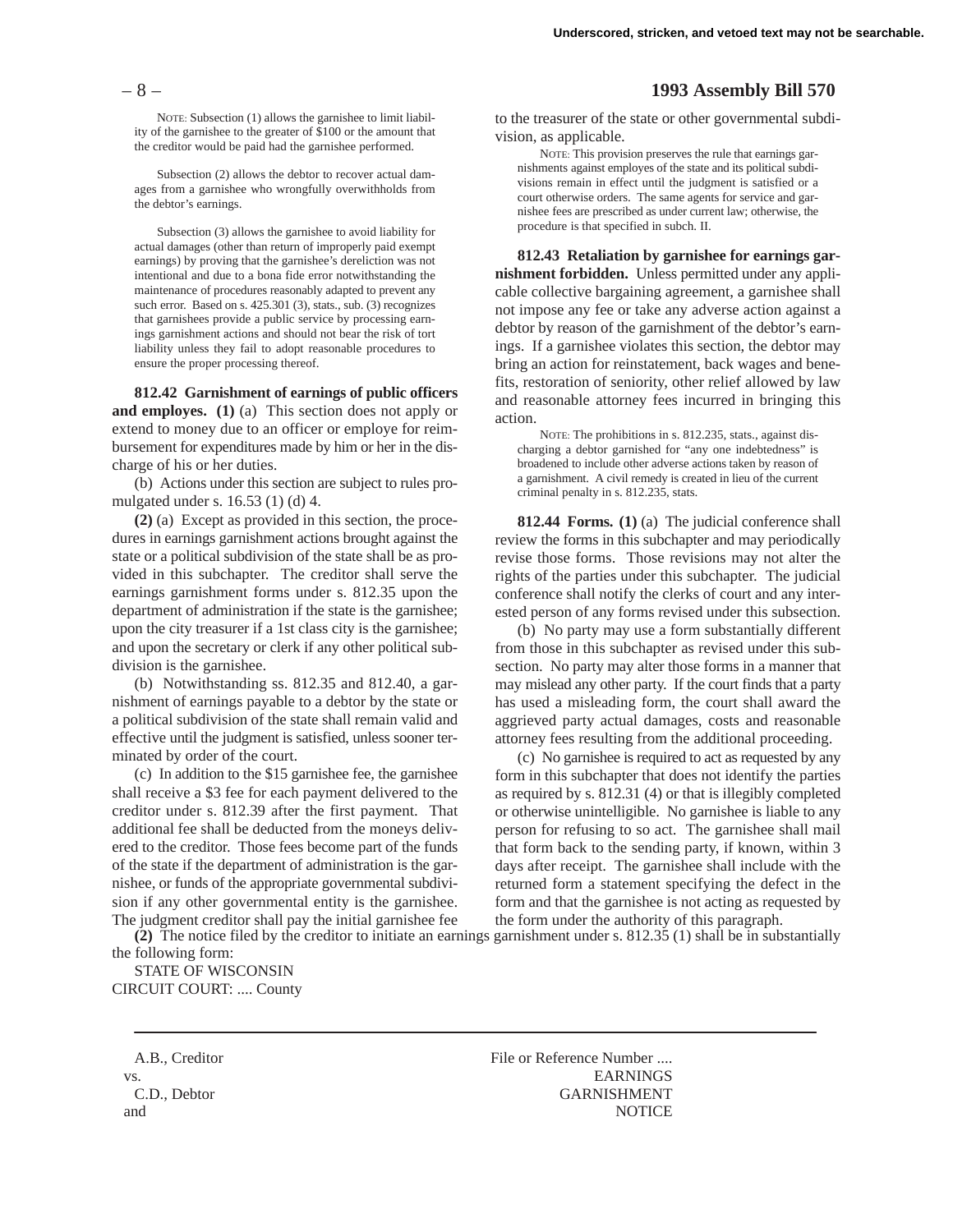NOTE: Subsection (1) allows the garnishee to limit liability of the garnishee to the greater of \$100 or the amount that the creditor would be paid had the garnishee performed.

Subsection (2) allows the debtor to recover actual damages from a garnishee who wrongfully overwithholds from the debtor's earnings.

Subsection (3) allows the garnishee to avoid liability for actual damages (other than return of improperly paid exempt earnings) by proving that the garnishee's dereliction was not intentional and due to a bona fide error notwithstanding the maintenance of procedures reasonably adapted to prevent any such error. Based on s. 425.301 (3), stats., sub. (3) recognizes that garnishees provide a public service by processing earnings garnishment actions and should not bear the risk of tort liability unless they fail to adopt reasonable procedures to ensure the proper processing thereof.

**812.42 Garnishment of earnings of public officers and employes. (1)** (a) This section does not apply or extend to money due to an officer or employe for reimbursement for expenditures made by him or her in the discharge of his or her duties.

(b) Actions under this section are subject to rules promulgated under s. 16.53 (1) (d) 4.

**(2)** (a) Except as provided in this section, the procedures in earnings garnishment actions brought against the state or a political subdivision of the state shall be as provided in this subchapter. The creditor shall serve the earnings garnishment forms under s. 812.35 upon the department of administration if the state is the garnishee; upon the city treasurer if a 1st class city is the garnishee; and upon the secretary or clerk if any other political subdivision is the garnishee.

(b) Notwithstanding ss. 812.35 and 812.40, a garnishment of earnings payable to a debtor by the state or a political subdivision of the state shall remain valid and effective until the judgment is satisfied, unless sooner terminated by order of the court.

(c) In addition to the \$15 garnishee fee, the garnishee shall receive a \$3 fee for each payment delivered to the creditor under s. 812.39 after the first payment. That additional fee shall be deducted from the moneys delivered to the creditor. Those fees become part of the funds of the state if the department of administration is the garnishee, or funds of the appropriate governmental subdivision if any other governmental entity is the garnishee. The judgment creditor shall pay the initial garnishee fee

**(2)** The notice filed by the creditor to initiate an earnings garnishment under s. 812.35 (1) shall be in substantially the following form:

STATE OF WISCONSIN CIRCUIT COURT: .... County

A.B., Creditor File or Reference Number .... vs. EARNINGS C.D., Debtor GARNISHMENT and NOTICE

# – 8 – **1993 Assembly Bill 570**

to the treasurer of the state or other governmental subdivision, as applicable.

NOTE: This provision preserves the rule that earnings garnishments against employes of the state and its political subdivisions remain in effect until the judgment is satisfied or a court otherwise orders. The same agents for service and garnishee fees are prescribed as under current law; otherwise, the procedure is that specified in subch. II.

**812.43 Retaliation by garnishee for earnings garnishment forbidden.** Unless permitted under any applicable collective bargaining agreement, a garnishee shall not impose any fee or take any adverse action against a debtor by reason of the garnishment of the debtor's earnings. If a garnishee violates this section, the debtor may bring an action for reinstatement, back wages and benefits, restoration of seniority, other relief allowed by law and reasonable attorney fees incurred in bringing this action.

NOTE: The prohibitions in s. 812.235, stats., against discharging a debtor garnished for "any one indebtedness" is broadened to include other adverse actions taken by reason of a garnishment. A civil remedy is created in lieu of the current criminal penalty in s. 812.235, stats.

**812.44 Forms. (1)** (a) The judicial conference shall review the forms in this subchapter and may periodically revise those forms. Those revisions may not alter the rights of the parties under this subchapter. The judicial conference shall notify the clerks of court and any interested person of any forms revised under this subsection.

(b) No party may use a form substantially different from those in this subchapter as revised under this subsection. No party may alter those forms in a manner that may mislead any other party. If the court finds that a party has used a misleading form, the court shall award the aggrieved party actual damages, costs and reasonable attorney fees resulting from the additional proceeding.

(c) No garnishee is required to act as requested by any form in this subchapter that does not identify the parties as required by s. 812.31 (4) or that is illegibly completed or otherwise unintelligible. No garnishee is liable to any person for refusing to so act. The garnishee shall mail that form back to the sending party, if known, within 3 days after receipt. The garnishee shall include with the returned form a statement specifying the defect in the form and that the garnishee is not acting as requested by the form under the authority of this paragraph.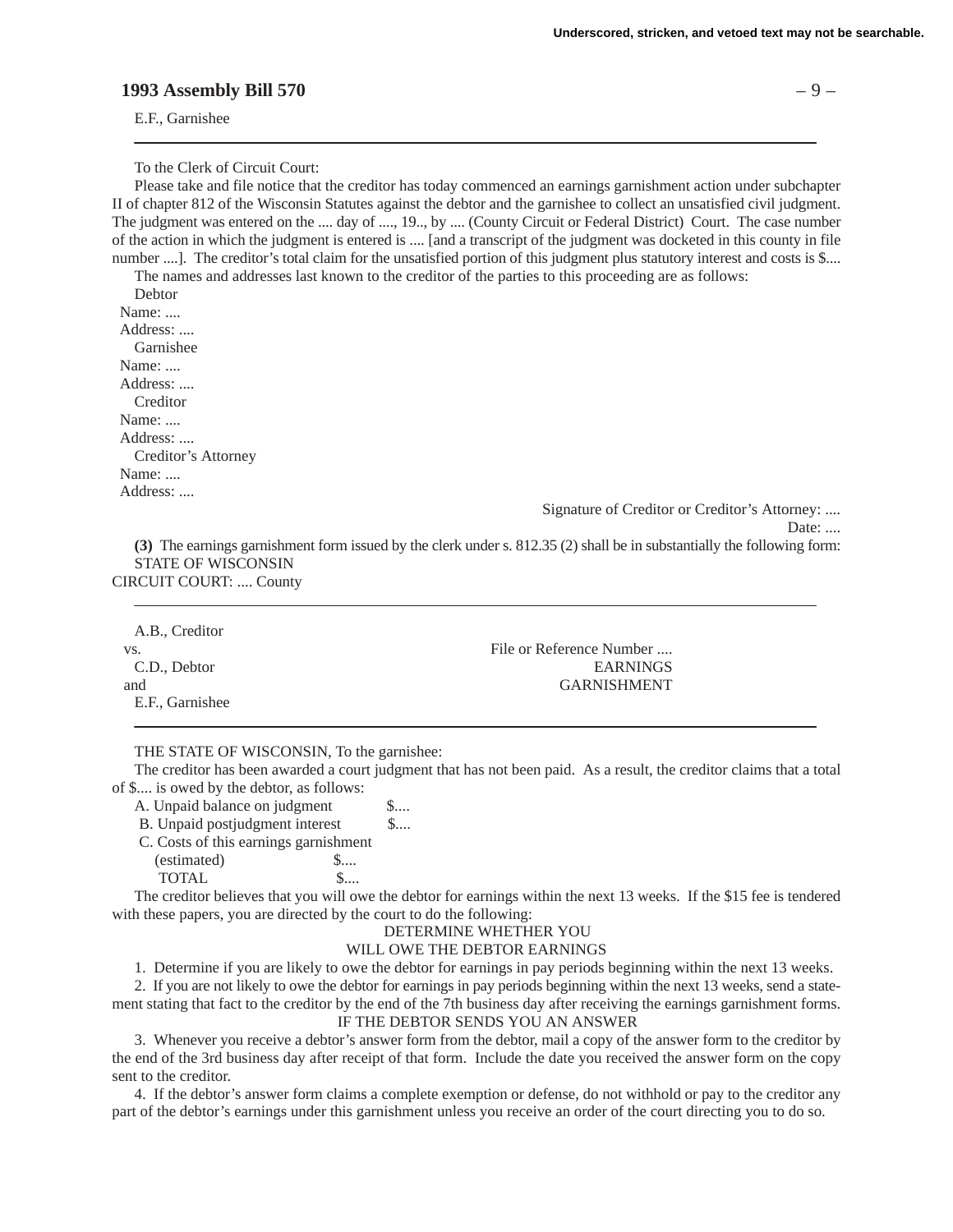# **1993 Assembly Bill 570** – 9 –

E.F., Garnishee

To the Clerk of Circuit Court:

Please take and file notice that the creditor has today commenced an earnings garnishment action under subchapter II of chapter 812 of the Wisconsin Statutes against the debtor and the garnishee to collect an unsatisfied civil judgment. The judgment was entered on the .... day of ...., 19.., by .... (County Circuit or Federal District) Court. The case number of the action in which the judgment is entered is .... [and a transcript of the judgment was docketed in this county in file number ....]. The creditor's total claim for the unsatisfied portion of this judgment plus statutory interest and costs is \$....

The names and addresses last known to the creditor of the parties to this proceeding are as follows: Debtor

 Name: .... Address: .... Garnishee Name: .... Address: .... Creditor Name: .... Address: .... Creditor's Attorney Name: .... Address: ....

E.F., Garnishee

Signature of Creditor or Creditor's Attorney: ....

Date: ....

**(3)** The earnings garnishment form issued by the clerk under s. 812.35 (2) shall be in substantially the following form: STATE OF WISCONSIN CIRCUIT COURT: .... County

| A.B., Creditor |                          |
|----------------|--------------------------|
| VS.            | File or Reference Number |
| C.D., Debtor   | <b>EARNINGS</b>          |
| and            | <b>GARNISHMENT</b>       |

## THE STATE OF WISCONSIN, To the garnishee:

The creditor has been awarded a court judgment that has not been paid. As a result, the creditor claims that a total of \$.... is owed by the debtor, as follows:

A. Unpaid balance on judgment \$....

B. Unpaid postjudgment interest \$....

 C. Costs of this earnings garnishment (estimated)  $\qquad \qquad$  \$.... TOTAL \$....

The creditor believes that you will owe the debtor for earnings within the next 13 weeks. If the \$15 fee is tendered with these papers, you are directed by the court to do the following:

## DETERMINE WHETHER YOU

# WILL OWE THE DEBTOR EARNINGS

1. Determine if you are likely to owe the debtor for earnings in pay periods beginning within the next 13 weeks.

2. If you are not likely to owe the debtor for earnings in pay periods beginning within the next 13 weeks, send a statement stating that fact to the creditor by the end of the 7th business day after receiving the earnings garnishment forms. IF THE DEBTOR SENDS YOU AN ANSWER

3. Whenever you receive a debtor's answer form from the debtor, mail a copy of the answer form to the creditor by the end of the 3rd business day after receipt of that form. Include the date you received the answer form on the copy sent to the creditor.

4. If the debtor's answer form claims a complete exemption or defense, do not withhold or pay to the creditor any part of the debtor's earnings under this garnishment unless you receive an order of the court directing you to do so.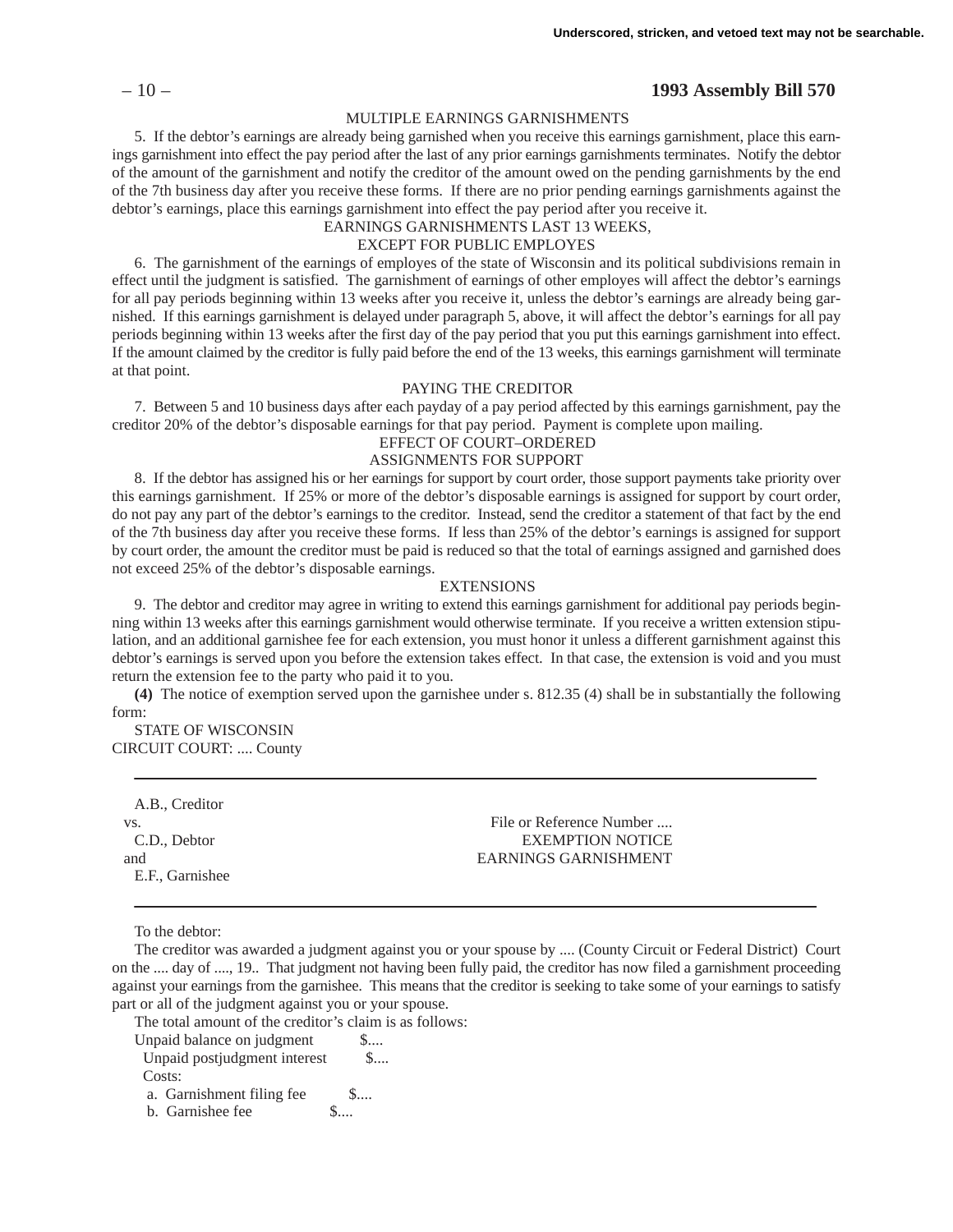## – 10 – **1993 Assembly Bill 570**

#### MULTIPLE EARNINGS GARNISHMENTS

5. If the debtor's earnings are already being garnished when you receive this earnings garnishment, place this earnings garnishment into effect the pay period after the last of any prior earnings garnishments terminates. Notify the debtor of the amount of the garnishment and notify the creditor of the amount owed on the pending garnishments by the end of the 7th business day after you receive these forms. If there are no prior pending earnings garnishments against the debtor's earnings, place this earnings garnishment into effect the pay period after you receive it.

EARNINGS GARNISHMENTS LAST 13 WEEKS,

# EXCEPT FOR PUBLIC EMPLOYES

6. The garnishment of the earnings of employes of the state of Wisconsin and its political subdivisions remain in effect until the judgment is satisfied. The garnishment of earnings of other employes will affect the debtor's earnings for all pay periods beginning within 13 weeks after you receive it, unless the debtor's earnings are already being garnished. If this earnings garnishment is delayed under paragraph 5, above, it will affect the debtor's earnings for all pay periods beginning within 13 weeks after the first day of the pay period that you put this earnings garnishment into effect. If the amount claimed by the creditor is fully paid before the end of the 13 weeks, this earnings garnishment will terminate at that point.

#### PAYING THE CREDITOR

7. Between 5 and 10 business days after each payday of a pay period affected by this earnings garnishment, pay the creditor 20% of the debtor's disposable earnings for that pay period. Payment is complete upon mailing.

## EFFECT OF COURT–ORDERED

# ASSIGNMENTS FOR SUPPORT

8. If the debtor has assigned his or her earnings for support by court order, those support payments take priority over this earnings garnishment. If 25% or more of the debtor's disposable earnings is assigned for support by court order, do not pay any part of the debtor's earnings to the creditor. Instead, send the creditor a statement of that fact by the end of the 7th business day after you receive these forms. If less than 25% of the debtor's earnings is assigned for support by court order, the amount the creditor must be paid is reduced so that the total of earnings assigned and garnished does not exceed 25% of the debtor's disposable earnings.

#### EXTENSIONS

9. The debtor and creditor may agree in writing to extend this earnings garnishment for additional pay periods beginning within 13 weeks after this earnings garnishment would otherwise terminate. If you receive a written extension stipulation, and an additional garnishee fee for each extension, you must honor it unless a different garnishment against this debtor's earnings is served upon you before the extension takes effect. In that case, the extension is void and you must return the extension fee to the party who paid it to you.

**(4)** The notice of exemption served upon the garnishee under s. 812.35 (4) shall be in substantially the following form:

STATE OF WISCONSIN CIRCUIT COURT: .... County

| VS.          | File or Reference Number |
|--------------|--------------------------|
| C.D., Debtor | <b>EXEMPTION NOTICE</b>  |
| and          | EARNINGS GARNISHMENT     |

To the debtor:

The creditor was awarded a judgment against you or your spouse by .... (County Circuit or Federal District) Court on the .... day of ...., 19.. That judgment not having been fully paid, the creditor has now filed a garnishment proceeding against your earnings from the garnishee. This means that the creditor is seeking to take some of your earnings to satisfy part or all of the judgment against you or your spouse.

The total amount of the creditor's claim is as follows:

Unpaid balance on judgment \$.... Unpaid postjudgment interest \$.... Costs: a. Garnishment filing fee \$.... b. Garnishee fee \$....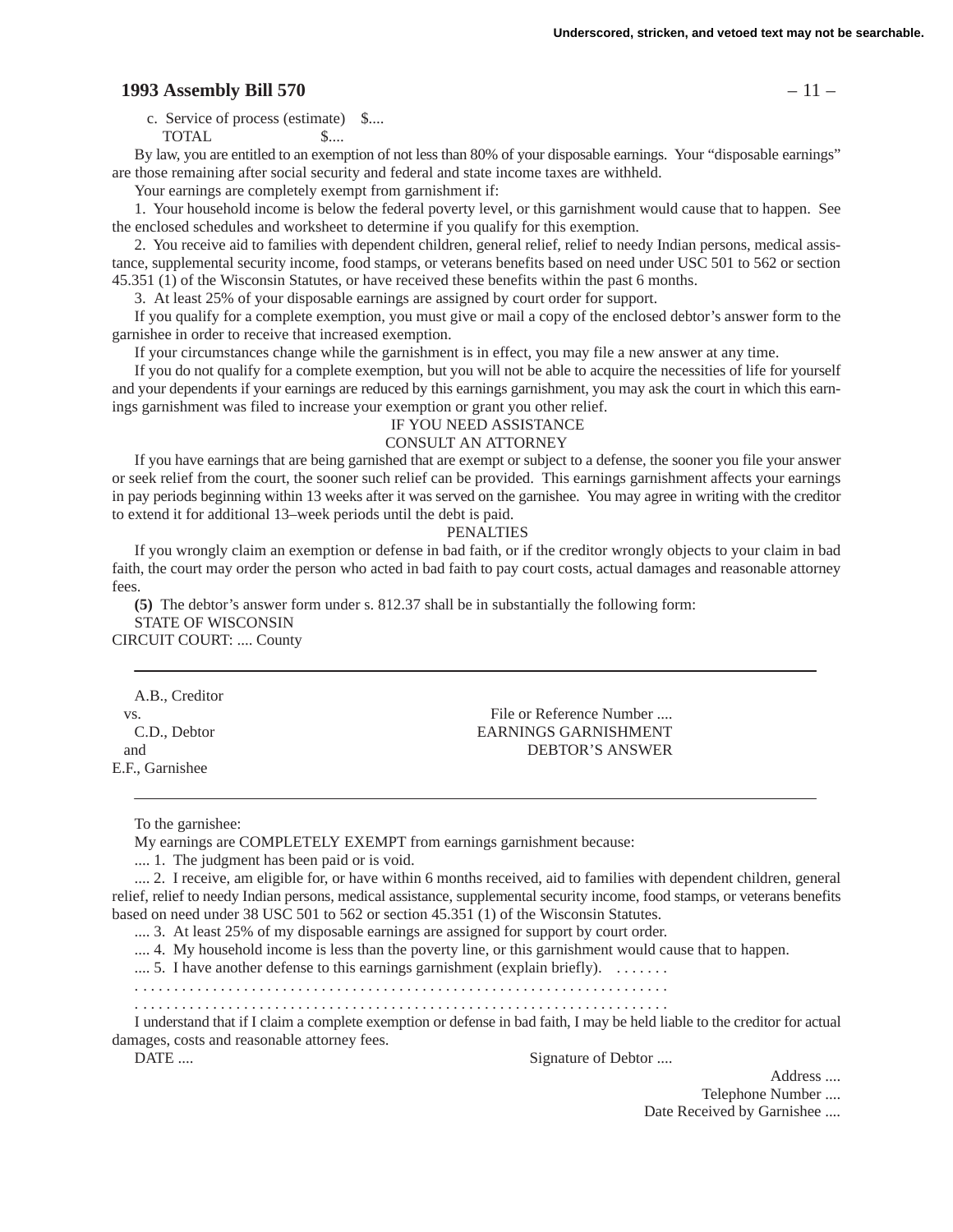## **1993 Assembly Bill 570** – 11 –

c. Service of process (estimate) \$....

TOTAL \$....

By law, you are entitled to an exemption of not less than 80% of your disposable earnings. Your "disposable earnings" are those remaining after social security and federal and state income taxes are withheld.

Your earnings are completely exempt from garnishment if:

1. Your household income is below the federal poverty level, or this garnishment would cause that to happen. See the enclosed schedules and worksheet to determine if you qualify for this exemption.

2. You receive aid to families with dependent children, general relief, relief to needy Indian persons, medical assistance, supplemental security income, food stamps, or veterans benefits based on need under USC 501 to 562 or section 45.351 (1) of the Wisconsin Statutes, or have received these benefits within the past 6 months.

3. At least 25% of your disposable earnings are assigned by court order for support.

If you qualify for a complete exemption, you must give or mail a copy of the enclosed debtor's answer form to the garnishee in order to receive that increased exemption.

If your circumstances change while the garnishment is in effect, you may file a new answer at any time.

If you do not qualify for a complete exemption, but you will not be able to acquire the necessities of life for yourself and your dependents if your earnings are reduced by this earnings garnishment, you may ask the court in which this earnings garnishment was filed to increase your exemption or grant you other relief.

#### IF YOU NEED ASSISTANCE

#### CONSULT AN ATTORNEY

If you have earnings that are being garnished that are exempt or subject to a defense, the sooner you file your answer or seek relief from the court, the sooner such relief can be provided. This earnings garnishment affects your earnings in pay periods beginning within 13 weeks after it was served on the garnishee. You may agree in writing with the creditor to extend it for additional 13–week periods until the debt is paid.

#### PENALTIES

If you wrongly claim an exemption or defense in bad faith, or if the creditor wrongly objects to your claim in bad faith, the court may order the person who acted in bad faith to pay court costs, actual damages and reasonable attorney fees.

**(5)** The debtor's answer form under s. 812.37 shall be in substantially the following form: STATE OF WISCONSIN CIRCUIT COURT: .... County

A.B., Creditor E.F., Garnishee

vs. The or Reference Number .... C.D., Debtor EARNINGS GARNISHMENT and DEBTOR'S ANSWER

To the garnishee:

My earnings are COMPLETELY EXEMPT from earnings garnishment because:

.... 1. The judgment has been paid or is void.

.... 2. I receive, am eligible for, or have within 6 months received, aid to families with dependent children, general relief, relief to needy Indian persons, medical assistance, supplemental security income, food stamps, or veterans benefits based on need under 38 USC 501 to 562 or section 45.351 (1) of the Wisconsin Statutes.

.... 3. At least 25% of my disposable earnings are assigned for support by court order.

.... 4. My household income is less than the poverty line, or this garnishment would cause that to happen.

.... 5. I have another defense to this earnings garnishment (explain briefly).  $\dots$ 

. . . . . . . . . . . . . . . . . . . . . . . . . . . . . . . . . . . . . . . . . . . . . . . . . . . . . . . . . . . . . . . . . . . . .

. . . . . . . . . . . . . . . . . . . . . . . . . . . . . . . . . . . . . . . . . . . . . . . . . . . . . . . . . . . . . . . . . . . . .

I understand that if I claim a complete exemption or defense in bad faith, I may be held liable to the creditor for actual damages, costs and reasonable attorney fees.

DATE .... Signature of Debtor ....

Address ....

Telephone Number ....

Date Received by Garnishee ....